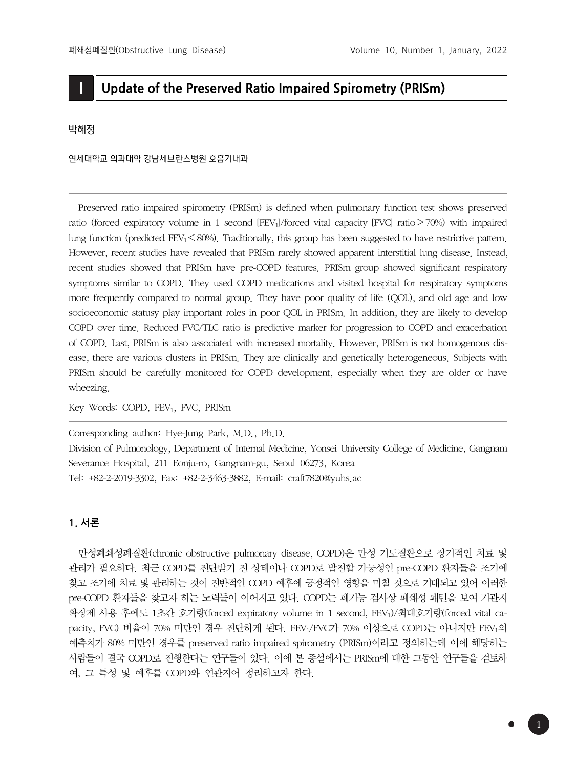# **I Update of the Preserved Ratio Impaired Spirometry (PRISm)**

박혜정

연세대학교 의과대학 강남세브란스병원 호흡기내과

 Preserved ratio impaired spirometry (PRISm) is defined when pulmonary function test shows preserved ratio (forced expiratory volume in 1 second  $[FFV<sub>1</sub>]/$  forced vital capacity  $[FVC]$  ratio  $>70%$ ) with impaired lung function (predicted  $FEV_1 \le 80\%$ ). Traditionally, this group has been suggested to have restrictive pattern. However, recent studies have revealed that PRISm rarely showed apparent interstitial lung disease. Instead, recent studies showed that PRISm have pre-COPD features. PRISm group showed significant respiratory symptoms similar to COPD. They used COPD medications and visited hospital for respiratory symptoms more frequently compared to normal group. They have poor quality of life (QOL), and old age and low socioeconomic statusy play important roles in poor QOL in PRISm. In addition, they are likely to develop COPD over time. Reduced FVC/TLC ratio is predictive marker for progression to COPD and exacerbation of COPD. Last, PRISm is also associated with increased mortality. However, PRISm is not homogenous disease, there are various clusters in PRISm. They are clinically and genetically heterogeneous. Subjects with PRISm should be carefully monitored for COPD development, especially when they are older or have wheezing.

Key Words: COPD, FEV<sub>1</sub>, FVC, PRISm

Corresponding author: Hye-Jung Park, M.D., Ph.D.

Division of Pulmonology, Department of Internal Medicine, Yonsei University College of Medicine, Gangnam Severance Hospital, 211 Eonju-ro, Gangnam-gu, Seoul 06273, Korea Tel: +82-2-2019-3302, Fax: +82-2-3463-3882, E-mail: craft7820@yuhs.ac

## **1. 서론**

 만성폐쇄성폐질환(chronic obstructive pulmonary disease, COPD)은 만성 기도질환으로 장기적인 치료 및 관리가 필요하다. 최근 COPD를 진단받기 전 상태이나 COPD로 발전할 가능성인 pre-COPD 환자들을 조기에 찾고 조기에 치료 및 관리하는 것이 전반적인 COPD 예후에 긍정적인 영향을 미칠 것으로 기대되고 있어 이러한 pre-COPD 환자들을 찾고자 하는 노력들이 이어지고 있다. COPD는 폐기능 검사상 폐쇄성 패턴을 보여 기관지 확장제 사용 후에도 1초간 호기량(forced expiratory volume in 1 second, FEV1)/최대호기량(forced vital capacity, FVC) 비율이 70% 미만인 경우 진단하게 된다. FEV1/FVC가 70% 이상으로 COPD는 아니지만 FEV1의 예측치가 80% 미만인 경우를 preserved ratio impaired spirometry (PRISm)이라고 정의하는데 이에 해당하는 사람들이 결국 COPD로 진행한다는 연구들이 있다. 이에 본 종설에서는 PRISm에 대한 그동안 연구들을 검토하 여, 그 특성 및 예후를 COPD와 연관지어 정리하고자 한다.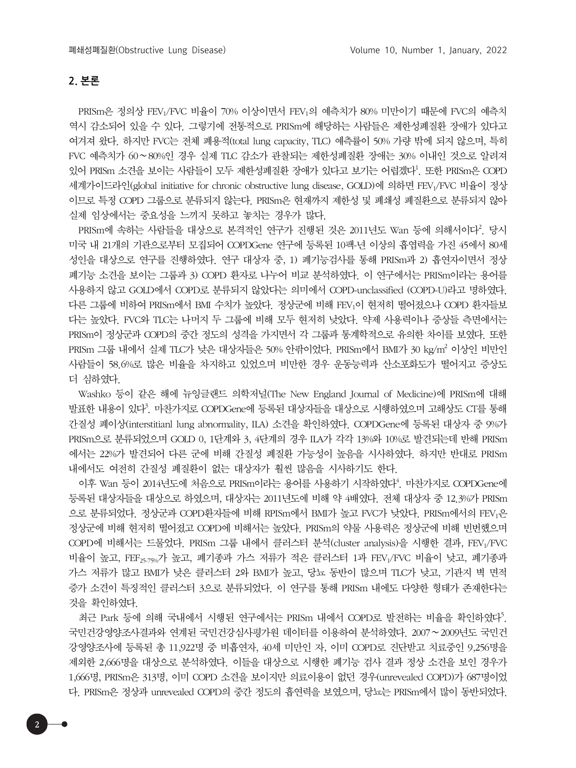# **2. 본론**

 PRISm은 정의상 FEV1/FVC 비율이 70% 이상이면서 FEV1의 예측치가 80% 미만이기 때문에 FVC의 예측치 역시 감소되어 있을 수 있다. 그렇기에 전통적으로 PRISm에 해당하는 사람들은 제한성폐질환 장애가 있다고 여겨져 왔다. 하지만 FVC는 전체 폐용적(total lung capacity, TLC) 예측률이 50% 가량 밖에 되지 않으며, 특히 FVC 예측치가 60∼80%인 경우 실제 TLC 감소가 관찰되는 제한성폐질환 장애는 30% 이내인 것으로 알려져 있어 PRISm 소견을 보이는 사람들이 모두 제한성폐질환 장애가 있다고 보기는 어렵겠다<sup>1</sup>. 또한 PRISm은 COPD 세계가이드라인(global initiative for chronic obstructive lung disease, GOLD)에 의하면 FEV1/FVC 비율이 정상 이므로 특정 COPD 그룹으로 분류되지 않는다. PRISm은 현재까지 제한성 및 폐쇄성 폐질환으로 분류되지 않아 실제 임상에서는 중요성을 느끼지 못하고 놓치는 경우가 많다.

PRISm에 속하는 사람들을 대상으로 본격적인 연구가 진행된 것은 2011년도 Wan 등에 의해서이다<sup>2</sup>. 당시 미국 내 21개의 기관으로부터 모집되어 COPDGene 연구에 등록된 10팩-년 이상의 흡엽력을 가진 45에서 80세 성인을 대상으로 연구를 진행하였다. 연구 대상자 중, 1) 폐기능검사를 통해 PRISm과 2) 흡연자이면서 정상 폐기능 소견을 보이는 그룹과 3) COPD 환자로 나누어 비교 분석하였다. 이 연구에서는 PRISm이라는 용어를 사용하지 않고 GOLD에서 COPD로 분류되지 않았다는 의미에서 COPD-unclassified (COPD-U)라고 명하였다. 다른 그룹에 비하여 PRISm에서 BMI 수치가 높았다. 정상군에 비해 FEV1이 현저히 떨어졌으나 COPD 환자들보 다는 높았다. FVC와 TLC는 나머지 두 그룹에 비해 모두 현저히 낮았다. 약제 사용력이나 증상들 측면에서는 PRISm이 정상군과 COPD의 중간 정도의 성격을 가지면서 각 그룹과 통계학적으로 유의한 차이를 보였다. 또한 PRISm 그룹 내에서 실제 TLC가 낮은 대상자들은 50% 안팎이었다. PRISm에서 BMI가 30 kg/m² 이상인 비만인 사람들이 58.6%로 많은 비율을 차지하고 있었으며 비만한 경우 운동능력과 산소포화도가 떨어지고 증상도 더 심하였다.

 Washko 등이 같은 해에 뉴잉글랜드 의학저널(The New England Journal of Medicine)에 PRISm에 대해 발표한 내용이 있다<sup>3</sup>. 마찬가지로 COPDGene에 등록된 대상자들을 대상으로 시행하였으며 고해상도 CT를 통해 간질성 폐이상(interstitianl lung abnormality, ILA) 소견을 확인하였다. COPDGene에 등록된 대상자 중 9%가 PRISm으로 분류되었으며 GOLD 0, 1단계와 3, 4단계의 경우 ILA가 각각 13%와 10%로 발견되는데 반해 PRISm 에서는 22%가 발견되어 다른 군에 비해 간질성 폐질환 가능성이 높음을 시사하였다. 하지만 반대로 PRISm 내에서도 여전히 간질성 폐질환이 없는 대상자가 훨씬 많음을 시사하기도 한다.

이후 Wan 등이 2014년도에 처음으로 PRISm이라는 용어를 사용하기 시작하였다<sup>4</sup>. 마찬가지로 COPDGene에 등록된 대상자들을 대상으로 하였으며, 대상자는 2011년도에 비해 약 4배였다. 전체 대상자 중 12.3%가 PRISm 으로 분류되었다. 정상군과 COPD환자들에 비해 RPISm에서 BMI가 높고 FVC가 낮았다. PRISm에서의 FEV1은 정상군에 비해 현저히 떨어졌고 COPD에 비해서는 높았다. PRISm의 약물 사용력은 정상군에 비해 빈번했으며 COPD에 비해서는 드물었다. PRISm 그룹 내에서 클러스터 분석(cluster analysis)을 시행한 결과, FEV1/FVC 비율이 높고, FEF25-75%가 높고, 폐기종과 가스 저류가 적은 클러스터 1과 FEV1/FVC 비율이 낮고, 폐기종과 가스 저류가 많고 BMI가 낮은 클러스터 2와 BMI가 높고, 당뇨 동반이 많으며 TLC가 낮고, 기관지 벽 면적 증가 소견이 특징적인 클러스터 3으로 분류되었다. 이 연구를 통해 PRISm 내에도 다양한 형태가 존재한다는 것을 확인하였다.

최근 Park 등에 의해 국내에서 시행된 연구에서는 PRISm 내에서 COPD로 발전하는 비율을 확인하였다<sup>5</sup>. 국민건강영양조사결과와 연계된 국민건강심사평가원 데이터를 이용하여 분석하였다. 2007∼2009년도 국민건 강영양조사에 등록된 총 11,922명 중 비흡연자, 40세 미만인 자, 이미 COPD로 진단받고 치료중인 9,256명을 제외한 2,666명을 대상으로 분석하였다. 이들을 대상으로 시행한 폐기능 검사 결과 정상 소견을 보인 경우가 1,666명, PRISm은 313명, 이미 COPD 소견을 보이지만 의료이용이 없던 경우(unrevealed COPD)가 687명이었 다. PRISm은 정상과 unrevealed COPD의 중간 정도의 흡연력을 보였으며, 당뇨는 PRISm에서 많이 동반되었다.

2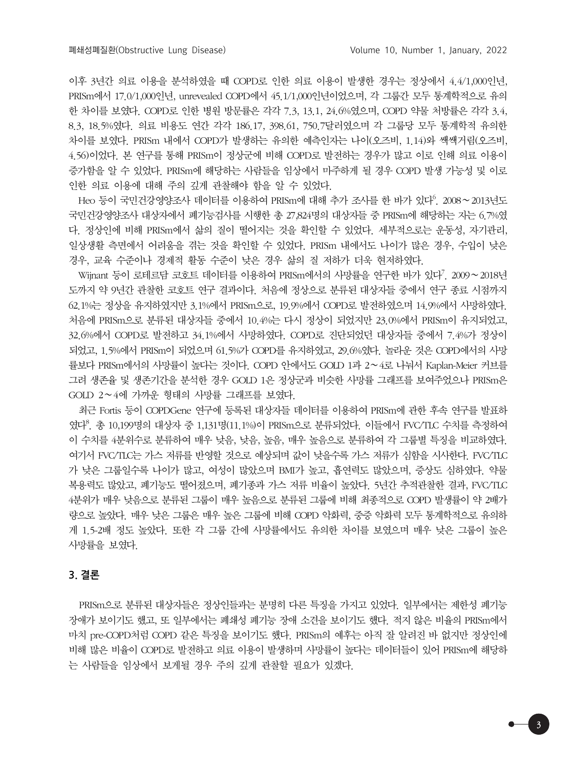이후 3년간 의료 이용을 분석하였을 때 COPD로 인한 의료 이용이 발생한 경우는 정상에서 4.4/1,000인년, PRISm에서 17.0/1,000인년, unrevealed COPD에서 45.1/1,000인년이었으며, 각 그룹간 모두 통계학적으로 유의 한 차이를 보였다. COPD로 인한 병원 방문률은 각각 7.3, 13.1, 24.6%였으며, COPD 약물 처방률은 각각 3.4, 8.3, 18.5%였다. 의료 비용도 연간 각각 186.17, 398.61, 750.7달러였으며 각 그룹당 모두 통계학적 유의한 차이를 보였다. PRISm 내에서 COPD가 발생하는 유의한 예측인자는 나이(오즈비, 1.14)와 쌕쌕거림(오즈비, 4.56)이었다. 본 연구를 통해 PRISm이 정상군에 비해 COPD로 발전하는 경우가 많고 이로 인해 의료 이용이 증가함을 알 수 있었다. PRISm에 해당하는 사람들을 임상에서 마주하게 될 경우 COPD 발생 가능성 및 이로 인한 의료 이용에 대해 주의 깊게 관찰해야 함을 알 수 있었다.

Heo 등이 국민건강영양조사 데이터를 이용하여 PRISm에 대해 추가 조사를 한 바가 있다<sup>6</sup>. 2008∼2013년도 국민건강영양조사 대상자에서 폐기능검사를 시행한 총 27,824명의 대상자들 중 PRISm에 해당하는 자는 6.7%였 다. 정상인에 비해 PRISm에서 삶의 질이 떨어지는 것을 확인할 수 있었다. 세부적으로는 운동성, 자기관리, 일상생활 측면에서 어려움을 겪는 것을 확인할 수 있었다. PRISm 내에서도 나이가 많은 경우, 수입이 낮은 경우, 교육 수준이나 경제적 활동 수준이 낮은 경우 삶의 질 저하가 더욱 현저하였다.

Wijnant 등이 로테르담 코호트 데이터를 이용하여 PRISm에서의 사망률을 연구한 바가 있다<sup>7</sup>. 2009∼2018년 도까지 약 9년간 관찰한 코호트 연구 결과이다. 처음에 정상으로 분류된 대상자들 중에서 연구 종료 시점까지 62.1%는 정상을 유지하였지만 3.1%에서 PRISm으로, 19.9%에서 COPD로 발전하였으며 14.9%에서 사망하였다. 처음에 PRISm으로 분류된 대상자들 중에서 10.4%는 다시 정상이 되었지만 23.0%에서 PRISm이 유지되었고, 32.6%에서 COPD로 발전하고 34.1%에서 사망하였다. COPD로 진단되었던 대상자들 중에서 7.4%가 정상이 되었고, 1.5%에서 PRISm이 되었으며 61.5%가 COPD를 유지하였고, 29.6%였다. 놀라운 것은 COPD에서의 사망 률보다 PRISm에서의 사망률이 높다는 것이다. COPD 안에서도 GOLD 1과 2∼4로 나눠서 Kaplan-Meier 커브를 그려 생존율 및 생존기간을 분석한 경우 GOLD 1은 정상군과 비슷한 사망률 그래프를 보여주었으나 PRISm은 GOLD 2∼4에 가까운 형태의 사망률 그래프를 보였다.

 최근 Fortis 등이 COPDGene 연구에 등록된 대상자들 데이터를 이용하여 PRISm에 관한 후속 연구를 발표하 였다8 . 총 10,199명의 대상자 중 1,131명(11.1%)이 PRISm으로 분류되었다. 이들에서 FVC/TLC 수치를 측정하여 이 수치를 4분위수로 분류하여 매우 낮음, 낮음, 높음, 매우 높음으로 분류하여 각 그룹별 특징을 비교하였다. 여기서 FVC/TLC는 가스 저류를 반영할 것으로 예상되며 값이 낮을수록 가스 저류가 심함을 시사한다. FVC/TLC 가 낮은 그룹일수록 나이가 많고, 여성이 많았으며 BMI가 높고, 흡연력도 많았으며, 증상도 심하였다. 약물 복용력도 많았고, 폐기능도 떨어졌으며, 폐기종과 가스 저류 비율이 높았다. 5년간 추적관찰한 결과, FVC/TLC 4분위가 매우 낮음으로 분류된 그룹이 매우 높음으로 분류된 그룹에 비해 최종적으로 COPD 발생률이 약 2배가 량으로 높았다. 매우 낮은 그룹은 매우 높은 그룹에 비해 COPD 악화력, 중증 악화력 모두 통계학적으로 유의하 게 1.5-2배 정도 높았다. 또한 각 그룹 간에 사망률에서도 유의한 차이를 보였으며 매우 낮은 그룹이 높은 사망률을 보였다.

### **3. 결론**

PRISm으로 분류된 대상자들은 정상인들과는 분명히 다른 특징을 가지고 있었다. 일부에서는 제한성 폐기능 장애가 보이기도 했고, 또 일부에서는 폐쇄성 폐기능 장애 소견을 보이기도 했다. 적지 않은 비율의 PRISm에서 마치 pre-COPD처럼 COPD 같은 특징을 보이기도 했다. PRISm의 예후는 아직 잘 알려진 바 없지만 정상인에 비해 많은 비율이 COPD로 발전하고 의료 이용이 발생하며 사망률이 높다는 데이터들이 있어 PRISm에 해당하 는 사람들을 임상에서 보게될 경우 주의 깊게 관찰할 필요가 있겠다.